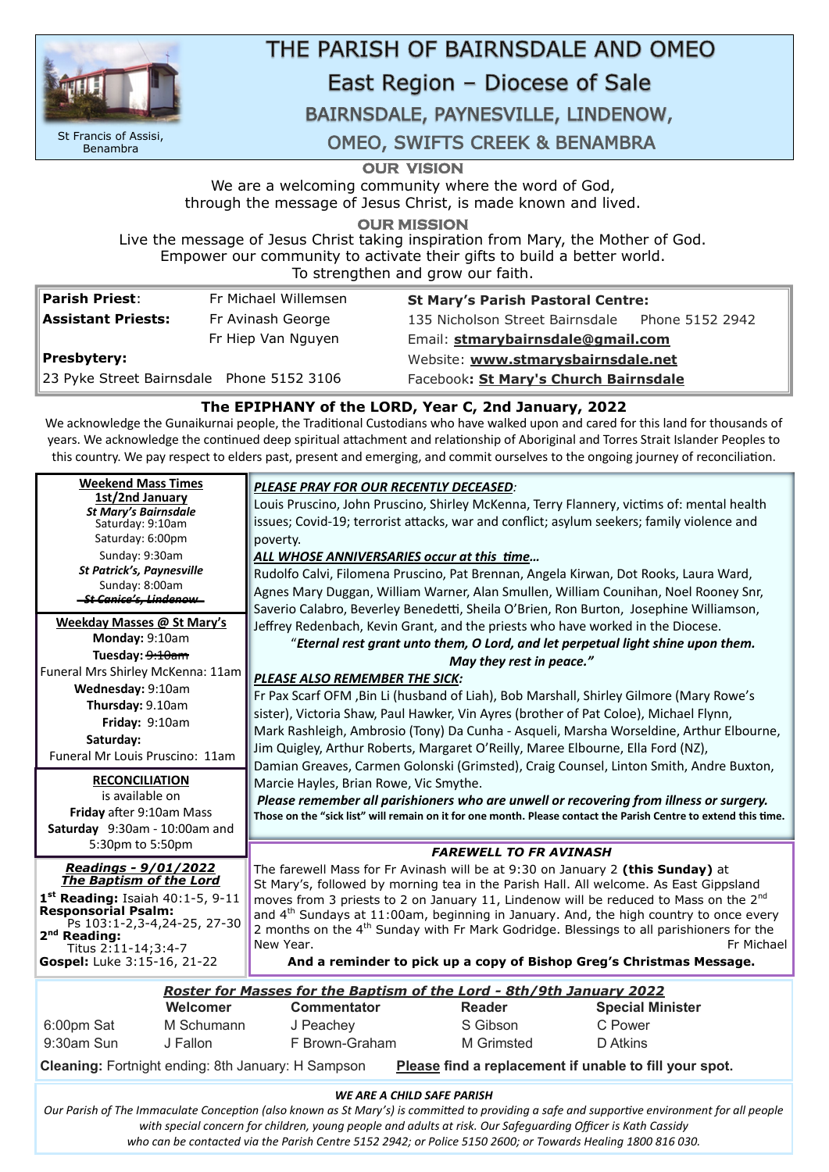**OUR VISION** 

We are a welcoming community where the word of God, through the message of Jesus Christ, is made known and lived.

**OUR MISSION** 

Live the message of Jesus Christ taking inspiration from Mary, the Mother of God. Empower our community to activate their gifts to build a better world. To strengthen and grow our faith.

| Parish Priest:                            | Fr Michael Willemsen | <b>St Mary's Parish Pastoral Centre:</b>        |  |  |
|-------------------------------------------|----------------------|-------------------------------------------------|--|--|
| <b>Assistant Priests:</b>                 | Fr Avinash George    | 135 Nicholson Street Bairnsdale Phone 5152 2942 |  |  |
|                                           | Fr Hiep Van Nguyen   | Email: stmarybairnsdale@gmail.com               |  |  |
| Presbytery:                               |                      | Website: www.stmarysbairnsdale.net              |  |  |
| 23 Pyke Street Bairnsdale Phone 5152 3106 |                      | Facebook: St Mary's Church Bairnsdale           |  |  |

## **The EPIPHANY of the LORD, Year C, 2nd January, 2022**

We acknowledge the Gunaikurnai people, the Traditional Custodians who have walked upon and cared for this land for thousands of years. We acknowledge the continued deep spiritual attachment and relationship of Aboriginal and Torres Strait Islander Peoples to this country. We pay respect to elders past, present and emerging, and commit ourselves to the ongoing journey of reconciliation.

#### *WE ARE A CHILD SAFE PARISH*

| <b>Weekend Mass Times</b><br>1st/2nd January<br><b>St Mary's Bairnsdale</b><br>Saturday: 9:10am<br>Saturday: 6:00pm<br>Sunday: 9:30am<br><b>St Patrick's, Paynesville</b><br>Sunday: 8:00am<br><del>- St Canice's, Lindenow-</del>                    | PLEASE PRAY FOR OUR RECENTLY DECEASED:<br>Louis Pruscino, John Pruscino, Shirley McKenna, Terry Flannery, victims of: mental health<br>issues; Covid-19; terrorist attacks, war and conflict; asylum seekers; family violence and<br>poverty.<br>ALL WHOSE ANNIVERSARIES occur at this time<br>Rudolfo Calvi, Filomena Pruscino, Pat Brennan, Angela Kirwan, Dot Rooks, Laura Ward,<br>Agnes Mary Duggan, William Warner, Alan Smullen, William Counihan, Noel Rooney Snr,<br>Saverio Calabro, Beverley Benedetti, Sheila O'Brien, Ron Burton, Josephine Williamson,                                              |  |
|-------------------------------------------------------------------------------------------------------------------------------------------------------------------------------------------------------------------------------------------------------|-------------------------------------------------------------------------------------------------------------------------------------------------------------------------------------------------------------------------------------------------------------------------------------------------------------------------------------------------------------------------------------------------------------------------------------------------------------------------------------------------------------------------------------------------------------------------------------------------------------------|--|
| Weekday Masses @ St Mary's<br>Monday: 9:10am<br>Tuesday: <del>9:10am</del><br>Funeral Mrs Shirley McKenna: 11am<br>Wednesday: 9:10am<br>Thursday: 9.10am<br>Friday: 9:10am<br>Saturday:<br>Funeral Mr Louis Pruscino: 11am                            | Jeffrey Redenbach, Kevin Grant, and the priests who have worked in the Diocese.<br>"Eternal rest grant unto them, O Lord, and let perpetual light shine upon them.<br>May they rest in peace."<br>PLEASE ALSO REMEMBER THE SICK:<br>Fr Pax Scarf OFM, Bin Li (husband of Liah), Bob Marshall, Shirley Gilmore (Mary Rowe's<br>sister), Victoria Shaw, Paul Hawker, Vin Ayres (brother of Pat Coloe), Michael Flynn,<br>Mark Rashleigh, Ambrosio (Tony) Da Cunha - Asqueli, Marsha Worseldine, Arthur Elbourne,<br>Jim Quigley, Arthur Roberts, Margaret O'Reilly, Maree Elbourne, Ella Ford (NZ),                 |  |
| <b>RECONCILIATION</b><br>is available on<br>Friday after 9:10am Mass<br>Saturday 9:30am - 10:00am and<br>5:30pm to 5:50pm                                                                                                                             | Damian Greaves, Carmen Golonski (Grimsted), Craig Counsel, Linton Smith, Andre Buxton,<br>Marcie Hayles, Brian Rowe, Vic Smythe.<br>Please remember all parishioners who are unwell or recovering from illness or surgery.<br>Those on the "sick list" will remain on it for one month. Please contact the Parish Centre to extend this time.                                                                                                                                                                                                                                                                     |  |
| Readings - 9/01/2022<br><b>The Baptism of the Lord</b><br>1 <sup>st</sup> Reading: Isaiah 40:1-5, 9-11<br><b>Responsorial Psalm:</b><br>Ps 103:1-2,3-4,24-25, 27-30<br>2 <sup>nd</sup> Reading:<br>Titus 2:11-14;3:4-7<br>Gospel: Luke 3:15-16, 21-22 | <b>FAREWELL TO FR AVINASH</b><br>The farewell Mass for Fr Avinash will be at 9:30 on January 2 (this Sunday) at<br>St Mary's, followed by morning tea in the Parish Hall. All welcome. As East Gippsland<br>moves from 3 priests to 2 on January 11, Lindenow will be reduced to Mass on the 2 <sup>nd</sup><br>and $4th$ Sundays at 11:00am, beginning in January. And, the high country to once every<br>2 months on the 4 <sup>th</sup> Sunday with Fr Mark Godridge. Blessings to all parishioners for the<br>New Year.<br>Fr Michael<br>And a reminder to pick up a copy of Bishop Greg's Christmas Message. |  |

*Our Parish of The Immaculate Conception (also known as St Mary's) is committed to providing a safe and supportive environment for all people with special concern for children, young people and adults at risk. Our Safeguarding Officer is Kath Cassidy who can be contacted via the Parish Centre 5152 2942; or Police 5150 2600; or Towards Healing 1800 816 030.*

|               | Roster for Masses for the Baptism of the Lord - 8th/9th January 2022 |                    |                   |                         |  |
|---------------|----------------------------------------------------------------------|--------------------|-------------------|-------------------------|--|
|               | Welcomer                                                             | <b>Commentator</b> | <b>Reader</b>     | <b>Special Minister</b> |  |
| 6:00pm Sat    | M Schumann                                                           | J Peachey          | S Gibson          | C Power                 |  |
| $9:30$ am Sun | J Fallon                                                             | F Brown-Graham     | <b>M</b> Grimsted | D Atkins                |  |

**Cleaning:** Fortnight ending: 8th January: H Sampson **Please find a replacement if unable to fill your spot.**



St Francis of Assisi, Benambra

# THE PARISH OF BAIRNSDALE AND OMEO

# East Region - Diocese of Sale

## BAIRNSDALE, PAYNESVILLE, LINDENOW,

**OMEO, SWIFTS CREEK & BENAMBRA**